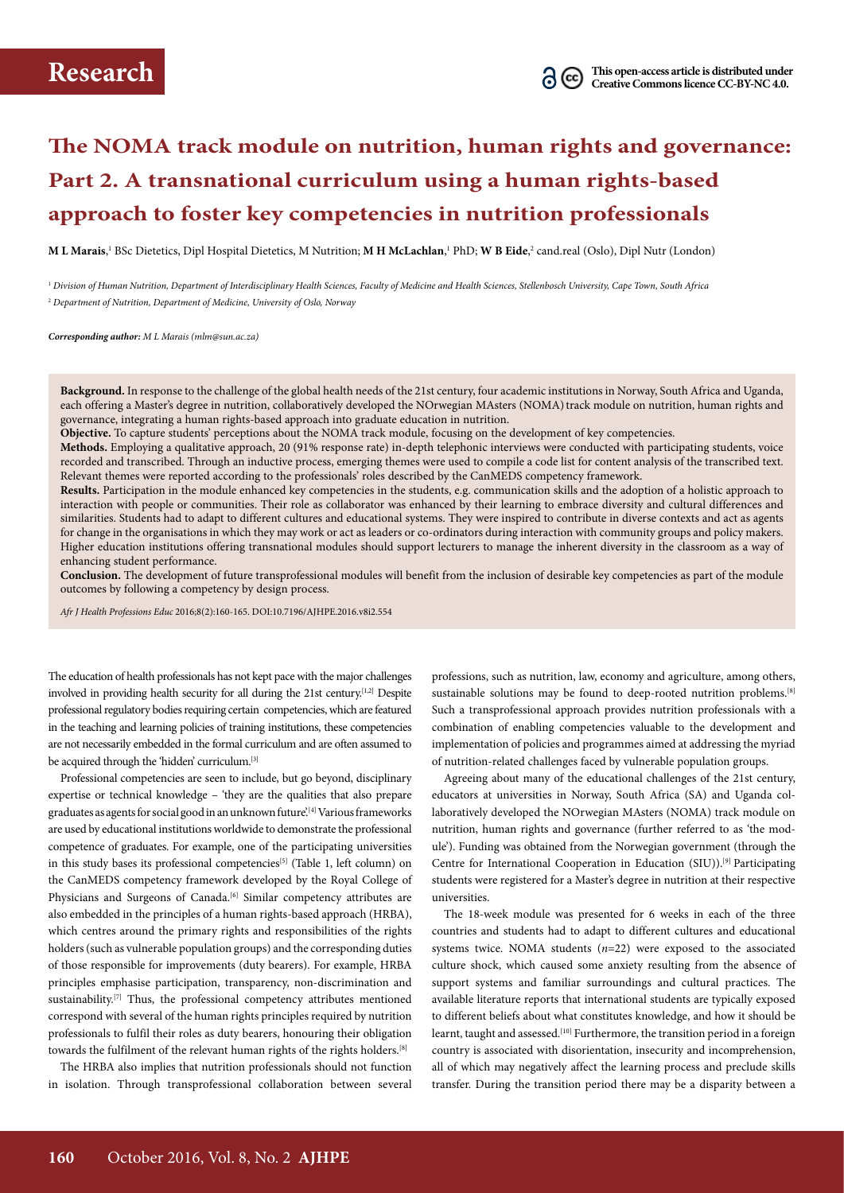# **The NOMA track module on nutrition, human rights and governance: Part 2. A transnational curriculum using a human rights-based approach to foster key competencies in nutrition professionals**

 ${\bf M}$  **L Marais**,' BSc Dietetics, Dipl Hospital Dietetics, M Nutrition; **M H McLachlan**,' PhD; **W B Eide,**? cand.real (Oslo), Dipl Nutr (London)

<sup>1</sup> *Division of Human Nutrition, Department of Interdisciplinary Health Sciences, Faculty of Medicine and Health Sciences, Stellenbosch University, Cape Town, South Africa* <sup>2</sup> *Department of Nutrition, Department of Medicine, University of Oslo, Norway*

*Corresponding author: M L Marais (mlm@sun.ac.za)*

**Background.** In response to the challenge of the global health needs of the 21st century, four academic institutions in Norway, South Africa and Uganda, each offering a Master's degree in nutrition, collaboratively developed the NOrwegian MAsters (NOMA) track module on nutrition, human rights and governance, integrating a human rights-based approach into graduate education in nutrition.

**Objective.** To capture students' perceptions about the NOMA track module, focusing on the development of key competencies.

**Methods.** Employing a qualitative approach, 20 (91% response rate) in-depth telephonic interviews were conducted with participating students, voice recorded and transcribed. Through an inductive process, emerging themes were used to compile a code list for content analysis of the transcribed text. Relevant themes were reported according to the professionals' roles described by the CanMEDS competency framework.

**Results.** Participation in the module enhanced key competencies in the students, e.g. communication skills and the adoption of a holistic approach to interaction with people or communities. Their role as collaborator was enhanced by their learning to embrace diversity and cultural differences and similarities. Students had to adapt to different cultures and educational systems. They were inspired to contribute in diverse contexts and act as agents for change in the organisations in which they may work or act as leaders or co-ordinators during interaction with community groups and policy makers. Higher education institutions offering transnational modules should support lecturers to manage the inherent diversity in the classroom as a way of enhancing student performance.

**Conclusion.** The development of future transprofessional modules will benefit from the inclusion of desirable key competencies as part of the module outcomes by following a competency by design process.

*Afr J Health Professions Educ* 2016;8(2):160-165. DOI:10.7196/AJHPE.2016.v8i2.554

The education of health professionals has not kept pace with the major challenges involved in providing health security for all during the 21st century.[1,2] Despite professional regulatory bodies requiring certain competencies, which are featured in the teaching and learning policies of training institutions, these competencies are not necessarily embedded in the formal curriculum and are often assumed to be acquired through the 'hidden' curriculum.[3]

Professional competencies are seen to include, but go beyond, disciplinary expertise or technical knowledge – 'they are the qualities that also prepare graduates as agents for social good in an unknown future.<sup>[4]</sup> Various frameworks are used by educational institutions worldwide to demonstrate the professional competence of graduates. For example, one of the participating universities in this study bases its professional competencies<sup>[5]</sup> (Table 1, left column) on the CanMEDS competency framework developed by the Royal College of Physicians and Surgeons of Canada.<sup>[6]</sup> Similar competency attributes are also embedded in the principles of a human rights-based approach (HRBA), which centres around the primary rights and responsibilities of the rights holders (such as vulnerable population groups) and the corresponding duties of those responsible for improvements (duty bearers). For example, HRBA principles emphasise participation, transparency, non-discrimination and sustainability.<sup>[7]</sup> Thus, the professional competency attributes mentioned correspond with several of the human rights principles required by nutrition professionals to fulfil their roles as duty bearers, honouring their obligation towards the fulfilment of the relevant human rights of the rights holders.<sup>[8]</sup>

The HRBA also implies that nutrition professionals should not function in isolation. Through transprofessional collaboration between several professions, such as nutrition, law, economy and agriculture, among others, sustainable solutions may be found to deep-rooted nutrition problems.<sup>[8]</sup> Such a transprofessional approach provides nutrition professionals with a combination of enabling competencies valuable to the development and implementation of policies and programmes aimed at addressing the myriad of nutrition-related challenges faced by vulnerable population groups.

Agreeing about many of the educational challenges of the 21st century, educators at universities in Norway, South Africa (SA) and Uganda collaboratively developed the NOrwegian MAsters (NOMA) track module on nutrition, human rights and governance (further referred to as 'the module'). Funding was obtained from the Norwegian government (through the Centre for International Cooperation in Education (SIU)).[9] Participating students were registered for a Master's degree in nutrition at their respective universities.

The 18-week module was presented for 6 weeks in each of the three countries and students had to adapt to different cultures and educational systems twice. NOMA students (*n*=22) were exposed to the associated culture shock, which caused some anxiety resulting from the absence of support systems and familiar surroundings and cultural practices. The available literature reports that international students are typically exposed to different beliefs about what constitutes knowledge, and how it should be learnt, taught and assessed.<sup>[10]</sup> Furthermore, the transition period in a foreign country is associated with disorientation, insecurity and incomprehension, all of which may negatively affect the learning process and preclude skills transfer. During the transition period there may be a disparity between a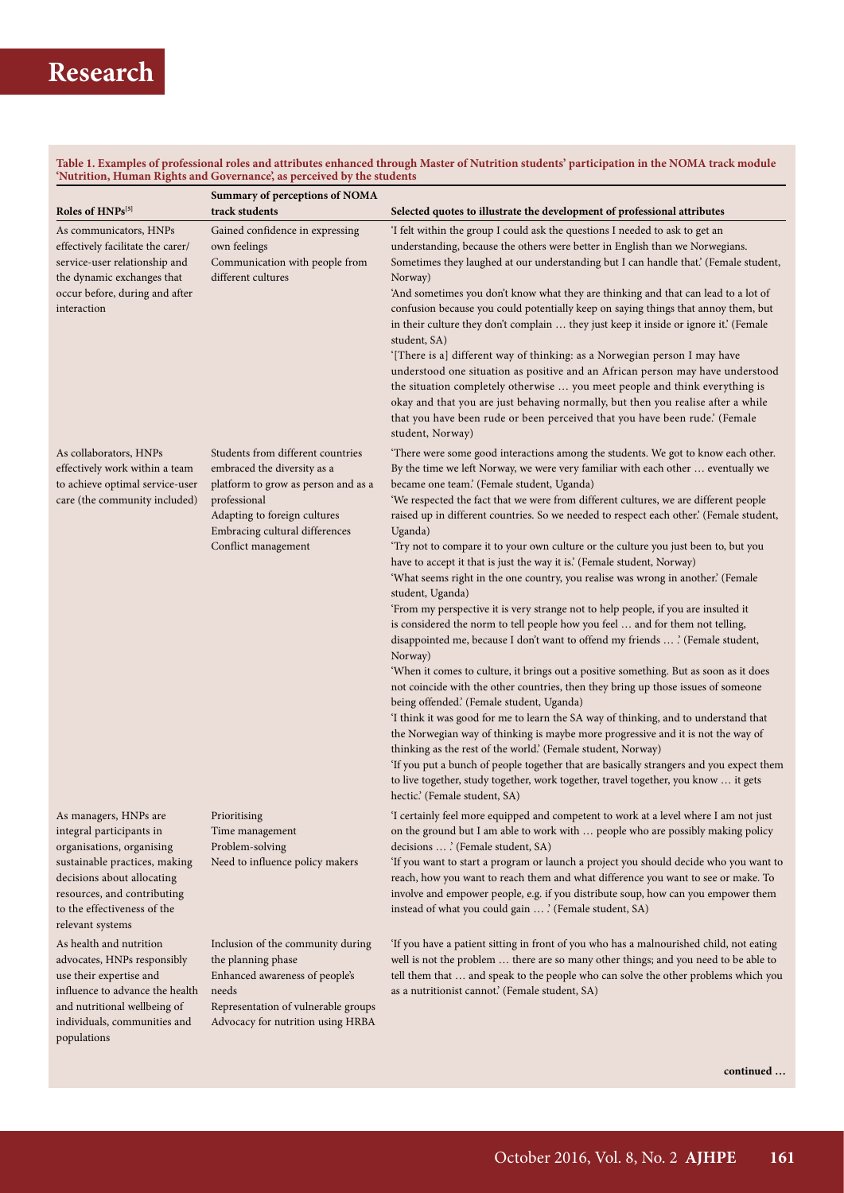**Table 1. Examples of professional roles and attributes enhanced through Master of Nutrition students' participation in the NOMA track module 'Nutrition, Human Rights and Governance', as perceived by the students**

|                                                                                                                                                                                                                                 | <b>Summary of perceptions of NOMA</b>                                                                                                                                                                            |                                                                                                                                                                                                                                                                                                                                                                                                                                                                                                                                                                                                                                                                                                                                                                                                                                                                                                                                                                                                                                                                                                                                                                                                                                                                                                                                                                                                                                                                                                                                                                                                                                                          |
|---------------------------------------------------------------------------------------------------------------------------------------------------------------------------------------------------------------------------------|------------------------------------------------------------------------------------------------------------------------------------------------------------------------------------------------------------------|----------------------------------------------------------------------------------------------------------------------------------------------------------------------------------------------------------------------------------------------------------------------------------------------------------------------------------------------------------------------------------------------------------------------------------------------------------------------------------------------------------------------------------------------------------------------------------------------------------------------------------------------------------------------------------------------------------------------------------------------------------------------------------------------------------------------------------------------------------------------------------------------------------------------------------------------------------------------------------------------------------------------------------------------------------------------------------------------------------------------------------------------------------------------------------------------------------------------------------------------------------------------------------------------------------------------------------------------------------------------------------------------------------------------------------------------------------------------------------------------------------------------------------------------------------------------------------------------------------------------------------------------------------|
| Roles of HNPs[5]                                                                                                                                                                                                                | track students                                                                                                                                                                                                   | Selected quotes to illustrate the development of professional attributes                                                                                                                                                                                                                                                                                                                                                                                                                                                                                                                                                                                                                                                                                                                                                                                                                                                                                                                                                                                                                                                                                                                                                                                                                                                                                                                                                                                                                                                                                                                                                                                 |
| As communicators, HNPs<br>effectively facilitate the carer/<br>service-user relationship and<br>the dynamic exchanges that<br>occur before, during and after<br>interaction                                                     | Gained confidence in expressing<br>own feelings<br>Communication with people from<br>different cultures                                                                                                          | 'I felt within the group I could ask the questions I needed to ask to get an<br>understanding, because the others were better in English than we Norwegians.<br>Sometimes they laughed at our understanding but I can handle that.' (Female student,<br>Norway)<br>'And sometimes you don't know what they are thinking and that can lead to a lot of<br>confusion because you could potentially keep on saying things that annoy them, but<br>in their culture they don't complain  they just keep it inside or ignore it.' (Female<br>student, SA)<br>'[There is a] different way of thinking: as a Norwegian person I may have<br>understood one situation as positive and an African person may have understood<br>the situation completely otherwise  you meet people and think everything is<br>okay and that you are just behaving normally, but then you realise after a while<br>that you have been rude or been perceived that you have been rude.' (Female<br>student, Norway)                                                                                                                                                                                                                                                                                                                                                                                                                                                                                                                                                                                                                                                                |
| As collaborators, HNPs<br>effectively work within a team<br>to achieve optimal service-user<br>care (the community included)                                                                                                    | Students from different countries<br>embraced the diversity as a<br>platform to grow as person and as a<br>professional<br>Adapting to foreign cultures<br>Embracing cultural differences<br>Conflict management | 'There were some good interactions among the students. We got to know each other.<br>By the time we left Norway, we were very familiar with each other  eventually we<br>became one team.' (Female student, Uganda)<br>'We respected the fact that we were from different cultures, we are different people<br>raised up in different countries. So we needed to respect each other.' (Female student,<br>Uganda)<br>'Try not to compare it to your own culture or the culture you just been to, but you<br>have to accept it that is just the way it is.' (Female student, Norway)<br>'What seems right in the one country, you realise was wrong in another.' (Female<br>student, Uganda)<br>'From my perspective it is very strange not to help people, if you are insulted it<br>is considered the norm to tell people how you feel  and for them not telling,<br>disappointed me, because I don't want to offend my friends  ' (Female student,<br>Norway)<br>'When it comes to culture, it brings out a positive something. But as soon as it does<br>not coincide with the other countries, then they bring up those issues of someone<br>being offended.' (Female student, Uganda)<br>'I think it was good for me to learn the SA way of thinking, and to understand that<br>the Norwegian way of thinking is maybe more progressive and it is not the way of<br>thinking as the rest of the world.' (Female student, Norway)<br>'If you put a bunch of people together that are basically strangers and you expect them<br>to live together, study together, work together, travel together, you know  it gets<br>hectic.' (Female student, SA) |
| As managers, HNPs are<br>integral participants in<br>organisations, organising<br>sustainable practices, making<br>decisions about allocating<br>resources, and contributing<br>to the effectiveness of the<br>relevant systems | Prioritising<br>Time management<br>Problem-solving<br>Need to influence policy makers                                                                                                                            | 'I certainly feel more equipped and competent to work at a level where I am not just<br>on the ground but I am able to work with  people who are possibly making policy<br>decisions  ' (Female student, SA)<br>'If you want to start a program or launch a project you should decide who you want to<br>reach, how you want to reach them and what difference you want to see or make. To<br>involve and empower people, e.g. if you distribute soup, how can you empower them<br>instead of what you could gain  ' (Female student, SA)                                                                                                                                                                                                                                                                                                                                                                                                                                                                                                                                                                                                                                                                                                                                                                                                                                                                                                                                                                                                                                                                                                                |
| As health and nutrition<br>advocates, HNPs responsibly<br>use their expertise and<br>influence to advance the health<br>and nutritional wellbeing of<br>individuals, communities and<br>populations                             | Inclusion of the community during<br>the planning phase<br>Enhanced awareness of people's<br>needs<br>Representation of vulnerable groups<br>Advocacy for nutrition using HRBA                                   | 'If you have a patient sitting in front of you who has a malnourished child, not eating<br>well is not the problem  there are so many other things; and you need to be able to<br>tell them that  and speak to the people who can solve the other problems which you<br>as a nutritionist cannot.' (Female student, SA)                                                                                                                                                                                                                                                                                                                                                                                                                                                                                                                                                                                                                                                                                                                                                                                                                                                                                                                                                                                                                                                                                                                                                                                                                                                                                                                                  |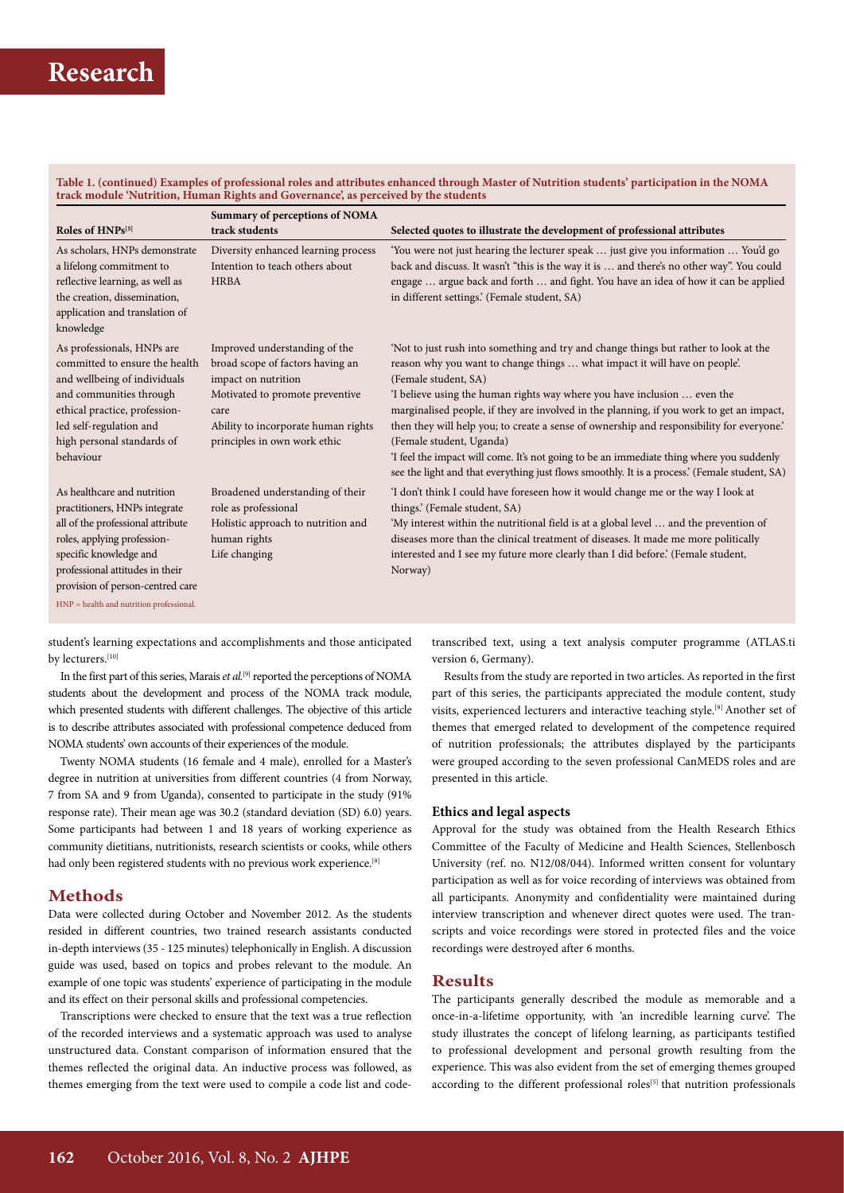**Table 1. (continued) Examples of professional roles and attributes enhanced through Master of Nutrition students' participation in the NOMA track module 'Nutrition, Human Rights and Governance', as perceived by the students**

|                                                                                                                                                                                                                                                                               | Summary of perceptions of NOMA                                                                                                                                                                             |                                                                                                                                                                                                                                                                                                                                                                                                                                                                                                                                                                                                                                                                                         |
|-------------------------------------------------------------------------------------------------------------------------------------------------------------------------------------------------------------------------------------------------------------------------------|------------------------------------------------------------------------------------------------------------------------------------------------------------------------------------------------------------|-----------------------------------------------------------------------------------------------------------------------------------------------------------------------------------------------------------------------------------------------------------------------------------------------------------------------------------------------------------------------------------------------------------------------------------------------------------------------------------------------------------------------------------------------------------------------------------------------------------------------------------------------------------------------------------------|
| Roles of HNPs <sup>[5]</sup>                                                                                                                                                                                                                                                  | track students                                                                                                                                                                                             | Selected quotes to illustrate the development of professional attributes                                                                                                                                                                                                                                                                                                                                                                                                                                                                                                                                                                                                                |
| As scholars, HNPs demonstrate<br>a lifelong commitment to<br>reflective learning, as well as<br>the creation, dissemination,<br>application and translation of<br>knowledge                                                                                                   | Diversity enhanced learning process<br>Intention to teach others about<br><b>HRBA</b>                                                                                                                      | 'You were not just hearing the lecturer speak  just give you information  You'd go<br>back and discuss. It wasn't "this is the way it is  and there's no other way". You could<br>engage  argue back and forth  and fight. You have an idea of how it can be applied<br>in different settings.' (Female student, SA)                                                                                                                                                                                                                                                                                                                                                                    |
| As professionals, HNPs are<br>committed to ensure the health<br>and wellbeing of individuals<br>and communities through<br>ethical practice, profession-<br>led self-regulation and<br>high personal standards of<br>behaviour                                                | Improved understanding of the<br>broad scope of factors having an<br>impact on nutrition<br>Motivated to promote preventive<br>care<br>Ability to incorporate human rights<br>principles in own work ethic | 'Not to just rush into something and try and change things but rather to look at the<br>reason why you want to change things  what impact it will have on people.<br>(Female student, SA)<br>'I believe using the human rights way where you have inclusion  even the<br>marginalised people, if they are involved in the planning, if you work to get an impact,<br>then they will help you; to create a sense of ownership and responsibility for everyone.'<br>(Female student, Uganda)<br>'I feel the impact will come. It's not going to be an immediate thing where you suddenly<br>see the light and that everything just flows smoothly. It is a process.' (Female student, SA) |
| As healthcare and nutrition<br>practitioners, HNPs integrate<br>all of the professional attribute<br>roles, applying profession-<br>specific knowledge and<br>professional attitudes in their<br>provision of person-centred care<br>HNP = health and nutrition professional. | Broadened understanding of their<br>role as professional<br>Holistic approach to nutrition and<br>human rights<br>Life changing                                                                            | 'I don't think I could have foreseen how it would change me or the way I look at<br>things.' (Female student, SA)<br>'My interest within the nutritional field is at a global level  and the prevention of<br>diseases more than the clinical treatment of diseases. It made me more politically<br>interested and I see my future more clearly than I did before.' (Female student,<br>Norway)                                                                                                                                                                                                                                                                                         |

student's learning expectations and accomplishments and those anticipated by lecturers.<sup>[10]</sup>

In the first part of this series, Marais *et al.*<sup>[9]</sup> reported the perceptions of NOMA students about the development and process of the NOMA track module, which presented students with different challenges. The objective of this article is to describe attributes associated with professional competence deduced from NOMA students' own accounts of their experiences of the module.

Twenty NOMA students (16 female and 4 male), enrolled for a Master's degree in nutrition at universities from different countries (4 from Norway, 7 from SA and 9 from Uganda), consented to participate in the study (91% response rate). Their mean age was 30.2 (standard deviation (SD) 6.0) years. Some participants had between 1 and 18 years of working experience as community dietitians, nutritionists, research scientists or cooks, while others had only been registered students with no previous work experience.<sup>[9]</sup>

## **Methods**

Data were collected during October and November 2012. As the students resided in different countries, two trained research assistants conducted in-depth interviews (35 - 125 minutes) telephonically in English. A discussion guide was used, based on topics and probes relevant to the module. An example of one topic was students' experience of participating in the module and its effect on their personal skills and professional competencies.

Transcriptions were checked to ensure that the text was a true reflection of the recorded interviews and a systematic approach was used to analyse unstructured data. Constant comparison of information ensured that the themes reflected the original data. An inductive process was followed, as themes emerging from the text were used to compile a code list and code-

transcribed text, using a text analysis computer programme (ATLAS.ti version 6, Germany).

Results from the study are reported in two articles. As reported in the first part of this series, the participants appreciated the module content, study visits, experienced lecturers and interactive teaching style.<sup>[9]</sup> Another set of themes that emerged related to development of the competence required of nutrition professionals; the attributes displayed by the participants were grouped according to the seven professional CanMEDS roles and are presented in this article.

#### **Ethics and legal aspects**

Approval for the study was obtained from the Health Research Ethics Committee of the Faculty of Medicine and Health Sciences, Stellenbosch University (ref. no. N12/08/044). Informed written consent for voluntary participation as well as for voice recording of interviews was obtained from all participants. Anonymity and confidentiality were maintained during interview transcription and whenever direct quotes were used. The transcripts and voice recordings were stored in protected files and the voice recordings were destroyed after 6 months.

## **Results**

The participants generally described the module as memorable and a once-in-a-lifetime opportunity, with 'an incredible learning curve'. The study illustrates the concept of lifelong learning, as participants testified to professional development and personal growth resulting from the experience. This was also evident from the set of emerging themes grouped according to the different professional roles<sup>[5]</sup> that nutrition professionals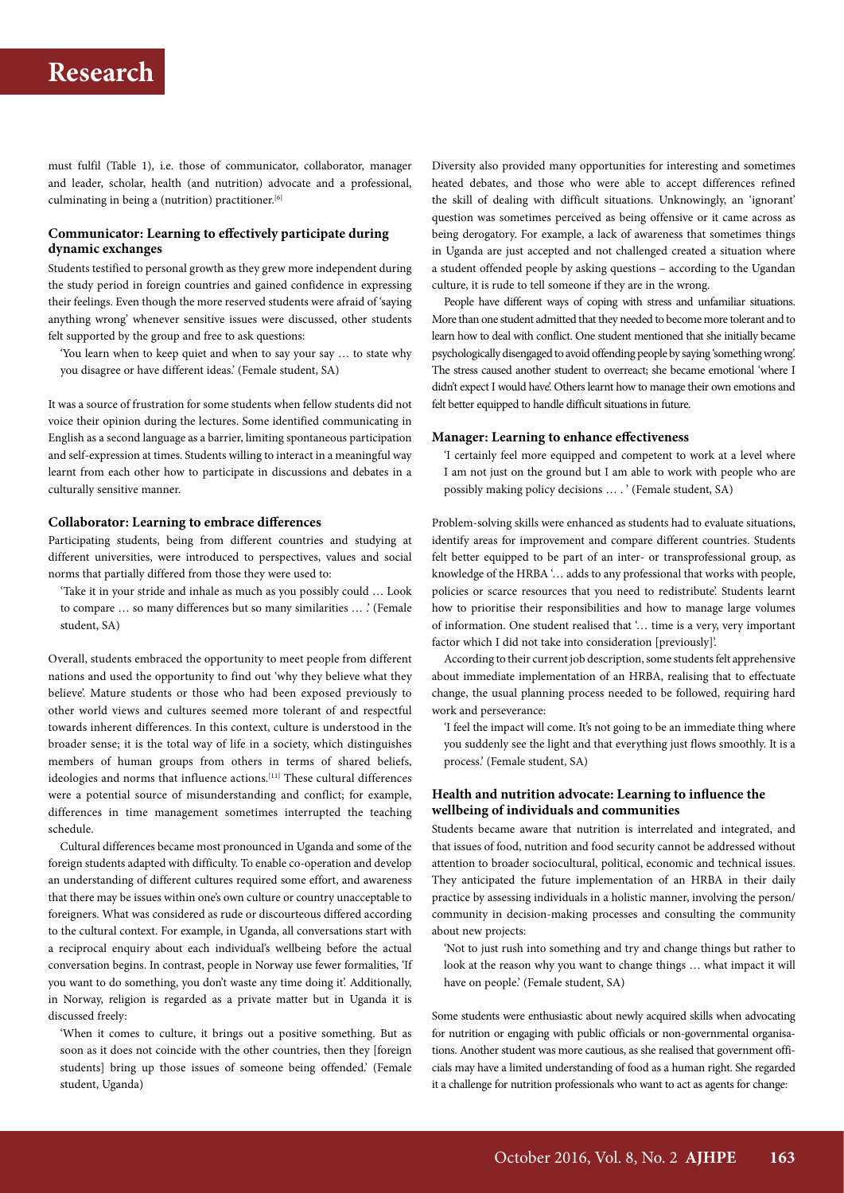must fulfil (Table 1), i.e. those of communicator, collaborator, manager and leader, scholar, health (and nutrition) advocate and a professional, culminating in being a (nutrition) practitioner.<sup>[6]</sup>

### **Communicator: Learning to effectively participate during dynamic exchanges**

Students testified to personal growth as they grew more independent during the study period in foreign countries and gained confidence in expressing their feelings. Even though the more reserved students were afraid of 'saying anything wrong' whenever sensitive issues were discussed, other students felt supported by the group and free to ask questions:

'You learn when to keep quiet and when to say your say … to state why you disagree or have different ideas.' (Female student, SA)

It was a source of frustration for some students when fellow students did not voice their opinion during the lectures. Some identified communicating in English as a second language as a barrier, limiting spontaneous participation and self-expression at times. Students willing to interact in a meaningful way learnt from each other how to participate in discussions and debates in a culturally sensitive manner.

#### **Collaborator: Learning to embrace differences**

Participating students, being from different countries and studying at different universities, were introduced to perspectives, values and social norms that partially differed from those they were used to:

'Take it in your stride and inhale as much as you possibly could … Look to compare … so many differences but so many similarities … .' (Female student, SA)

Overall, students embraced the opportunity to meet people from different nations and used the opportunity to find out 'why they believe what they believe'. Mature students or those who had been exposed previously to other world views and cultures seemed more tolerant of and respectful towards inherent differences. In this context, culture is understood in the broader sense; it is the total way of life in a society, which distinguishes members of human groups from others in terms of shared beliefs, ideologies and norms that influence actions.<sup>[11]</sup> These cultural differences were a potential source of misunderstanding and conflict; for example, differences in time management sometimes interrupted the teaching schedule.

Cultural differences became most pronounced in Uganda and some of the foreign students adapted with difficulty. To enable co-operation and develop an understanding of different cultures required some effort, and awareness that there may be issues within one's own culture or country unacceptable to foreigners. What was considered as rude or discourteous differed according to the cultural context. For example, in Uganda, all conversations start with a reciprocal enquiry about each individual's wellbeing before the actual conversation begins. In contrast, people in Norway use fewer formalities, 'If you want to do something, you don't waste any time doing it'. Additionally, in Norway, religion is regarded as a private matter but in Uganda it is discussed freely:

'When it comes to culture, it brings out a positive something. But as soon as it does not coincide with the other countries, then they [foreign students] bring up those issues of someone being offended.' (Female student, Uganda)

Diversity also provided many opportunities for interesting and sometimes heated debates, and those who were able to accept differences refined the skill of dealing with difficult situations. Unknowingly, an 'ignorant' question was sometimes perceived as being offensive or it came across as being derogatory. For example, a lack of awareness that sometimes things in Uganda are just accepted and not challenged created a situation where a student offended people by asking questions – according to the Ugandan culture, it is rude to tell someone if they are in the wrong.

People have different ways of coping with stress and unfamiliar situations. More than one student admitted that they needed to become more tolerant and to learn how to deal with conflict. One student mentioned that she initially became psychologically disengaged to avoid offending people by saying 'something wrong'. The stress caused another student to overreact; she became emotional 'where I didn't expect I would have'. Others learnt how to manage their own emotions and felt better equipped to handle difficult situations in future.

#### **Manager: Learning to enhance effectiveness**

'I certainly feel more equipped and competent to work at a level where I am not just on the ground but I am able to work with people who are possibly making policy decisions ... . ' (Female student, SA)

Problem-solving skills were enhanced as students had to evaluate situations, identify areas for improvement and compare different countries. Students felt better equipped to be part of an inter- or transprofessional group, as knowledge of the HRBA '… adds to any professional that works with people, policies or scarce resources that you need to redistribute'. Students learnt how to prioritise their responsibilities and how to manage large volumes of information. One student realised that '… time is a very, very important factor which I did not take into consideration [previously]'.

According to their current job description, some students felt apprehensive about immediate implementation of an HRBA, realising that to effectuate change, the usual planning process needed to be followed, requiring hard work and perseverance:

'I feel the impact will come. It's not going to be an immediate thing where you suddenly see the light and that everything just flows smoothly. It is a process.' (Female student, SA)

#### **Health and nutrition advocate: Learning to influence the wellbeing of individuals and communities**

Students became aware that nutrition is interrelated and integrated, and that issues of food, nutrition and food security cannot be addressed without attention to broader sociocultural, political, economic and technical issues. They anticipated the future implementation of an HRBA in their daily practice by assessing individuals in a holistic manner, involving the person/ community in decision-making processes and consulting the community about new projects:

'Not to just rush into something and try and change things but rather to look at the reason why you want to change things … what impact it will have on people.' (Female student, SA)

Some students were enthusiastic about newly acquired skills when advocating for nutrition or engaging with public officials or non-governmental organisations. Another student was more cautious, as she realised that government officials may have a limited understanding of food as a human right. She regarded it a challenge for nutrition professionals who want to act as agents for change: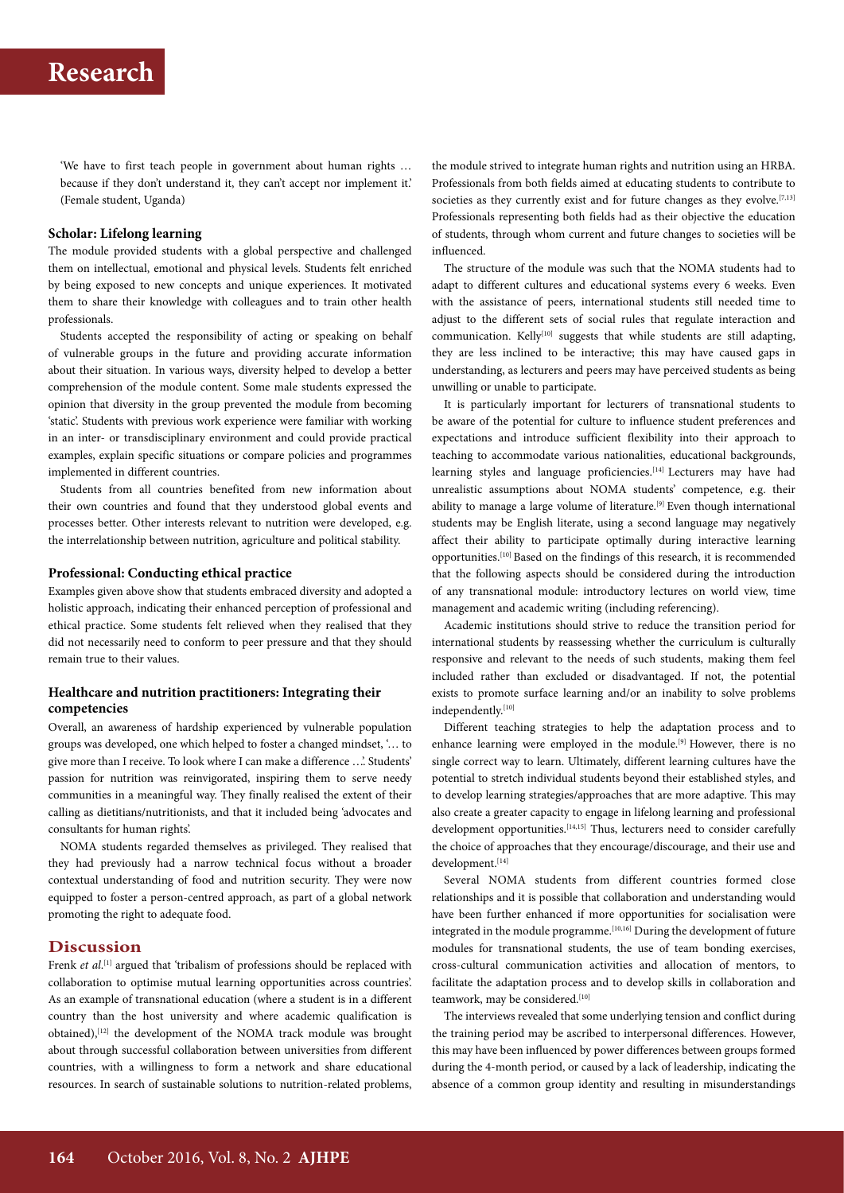'We have to first teach people in government about human rights … because if they don't understand it, they can't accept nor implement it.' (Female student, Uganda)

#### **Scholar: Lifelong learning**

The module provided students with a global perspective and challenged them on intellectual, emotional and physical levels. Students felt enriched by being exposed to new concepts and unique experiences. It motivated them to share their knowledge with colleagues and to train other health professionals.

Students accepted the responsibility of acting or speaking on behalf of vulnerable groups in the future and providing accurate information about their situation. In various ways, diversity helped to develop a better comprehension of the module content. Some male students expressed the opinion that diversity in the group prevented the module from becoming 'static'. Students with previous work experience were familiar with working in an inter- or transdisciplinary environment and could provide practical examples, explain specific situations or compare policies and programmes implemented in different countries.

Students from all countries benefited from new information about their own countries and found that they understood global events and processes better. Other interests relevant to nutrition were developed, e.g. the interrelationship between nutrition, agriculture and political stability.

#### **Professional: Conducting ethical practice**

Examples given above show that students embraced diversity and adopted a holistic approach, indicating their enhanced perception of professional and ethical practice. Some students felt relieved when they realised that they did not necessarily need to conform to peer pressure and that they should remain true to their values.

## **Healthcare and nutrition practitioners: Integrating their competencies**

Overall, an awareness of hardship experienced by vulnerable population groups was developed, one which helped to foster a changed mindset, '… to give more than I receive. To look where I can make a difference ...' Students' passion for nutrition was reinvigorated, inspiring them to serve needy communities in a meaningful way. They finally realised the extent of their calling as dietitians/nutritionists, and that it included being 'advocates and consultants for human rights'.

NOMA students regarded themselves as privileged. They realised that they had previously had a narrow technical focus without a broader contextual understanding of food and nutrition security. They were now equipped to foster a person-centred approach, as part of a global network promoting the right to adequate food.

## **Discussion**

Frenk *et al.*<sup>[1]</sup> argued that 'tribalism of professions should be replaced with collaboration to optimise mutual learning opportunities across countries'. As an example of transnational education (where a student is in a different country than the host university and where academic qualification is obtained),<sup>[12]</sup> the development of the NOMA track module was brought about through successful collaboration between universities from different countries, with a willingness to form a network and share educational resources. In search of sustainable solutions to nutrition-related problems,

the module strived to integrate human rights and nutrition using an HRBA. Professionals from both fields aimed at educating students to contribute to societies as they currently exist and for future changes as they evolve.<sup>[7,13]</sup> Professionals representing both fields had as their objective the education of students, through whom current and future changes to societies will be influenced.

The structure of the module was such that the NOMA students had to adapt to different cultures and educational systems every 6 weeks. Even with the assistance of peers, international students still needed time to adjust to the different sets of social rules that regulate interaction and communication. Kelly<sup>[10]</sup> suggests that while students are still adapting, they are less inclined to be interactive; this may have caused gaps in understanding, as lecturers and peers may have perceived students as being unwilling or unable to participate.

It is particularly important for lecturers of transnational students to be aware of the potential for culture to influence student preferences and expectations and introduce sufficient flexibility into their approach to teaching to accommodate various nationalities, educational backgrounds, learning styles and language proficiencies.<sup>[14]</sup> Lecturers may have had unrealistic assumptions about NOMA students' competence, e.g. their ability to manage a large volume of literature.<sup>[9]</sup> Even though international students may be English literate, using a second language may negatively affect their ability to participate optimally during interactive learning opportunities.[10] Based on the findings of this research, it is recommended that the following aspects should be considered during the introduction of any transnational module: introductory lectures on world view, time management and academic writing (including referencing).

Academic institutions should strive to reduce the transition period for international students by reassessing whether the curriculum is culturally responsive and relevant to the needs of such students, making them feel included rather than excluded or disadvantaged. If not, the potential exists to promote surface learning and/or an inability to solve problems independently.[10]

Different teaching strategies to help the adaptation process and to enhance learning were employed in the module.<sup>[9]</sup> However, there is no single correct way to learn. Ultimately, different learning cultures have the potential to stretch individual students beyond their established styles, and to develop learning strategies/approaches that are more adaptive. This may also create a greater capacity to engage in lifelong learning and professional development opportunities.<sup>[14,15]</sup> Thus, lecturers need to consider carefully the choice of approaches that they encourage/discourage, and their use and development.<sup>[14]</sup>

Several NOMA students from different countries formed close relationships and it is possible that collaboration and understanding would have been further enhanced if more opportunities for socialisation were integrated in the module programme.<sup>[10,16]</sup> During the development of future modules for transnational students, the use of team bonding exercises, cross-cultural communication activities and allocation of mentors, to facilitate the adaptation process and to develop skills in collaboration and teamwork, may be considered.<sup>[10]</sup>

The interviews revealed that some underlying tension and conflict during the training period may be ascribed to interpersonal differences. However, this may have been influenced by power differences between groups formed during the 4-month period, or caused by a lack of leadership, indicating the absence of a common group identity and resulting in misunderstandings